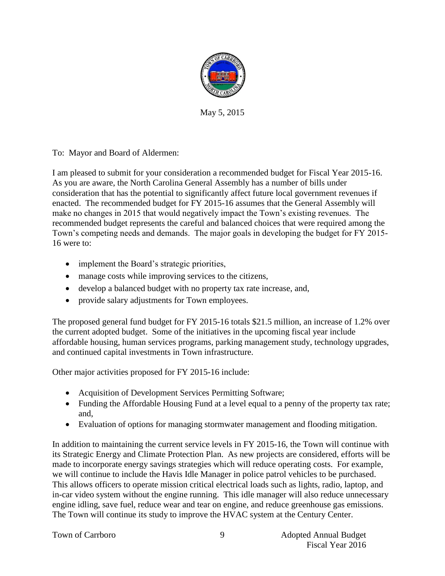

May 5, 2015

To: Mayor and Board of Aldermen:

I am pleased to submit for your consideration a recommended budget for Fiscal Year 2015-16. As you are aware, the North Carolina General Assembly has a number of bills under consideration that has the potential to significantly affect future local government revenues if enacted. The recommended budget for FY 2015-16 assumes that the General Assembly will make no changes in 2015 that would negatively impact the Town's existing revenues. The recommended budget represents the careful and balanced choices that were required among the Town's competing needs and demands. The major goals in developing the budget for FY 2015- 16 were to:

- implement the Board's strategic priorities,
- manage costs while improving services to the citizens,
- develop a balanced budget with no property tax rate increase, and,
- provide salary adjustments for Town employees.

The proposed general fund budget for FY 2015-16 totals \$21.5 million, an increase of 1.2% over the current adopted budget. Some of the initiatives in the upcoming fiscal year include affordable housing, human services programs, parking management study, technology upgrades, and continued capital investments in Town infrastructure.

Other major activities proposed for FY 2015-16 include:

- Acquisition of Development Services Permitting Software;
- Funding the Affordable Housing Fund at a level equal to a penny of the property tax rate; and,
- Evaluation of options for managing stormwater management and flooding mitigation.

In addition to maintaining the current service levels in FY 2015-16, the Town will continue with its Strategic Energy and Climate Protection Plan. As new projects are considered, efforts will be made to incorporate energy savings strategies which will reduce operating costs. For example, we will continue to include the Havis Idle Manager in police patrol vehicles to be purchased. This allows officers to operate mission critical electrical loads such as lights, radio, laptop, and in-car video system without the engine running. This idle manager will also reduce unnecessary engine idling, save fuel, reduce wear and tear on engine, and reduce greenhouse gas emissions. The Town will continue its study to improve the HVAC system at the Century Center.